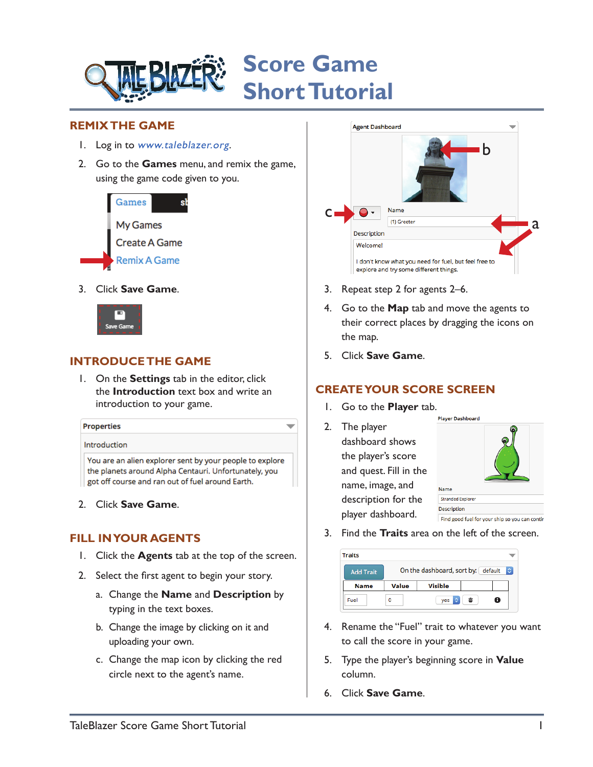

#### **REMIX THE GAME**

- 1. Log in to [www.taleblazer.org](http://www.taleblazer.org).
- 2. Go to the **Games** menu, and remix the game, using the game code given to you.



3. Click **Save Game**.



P

### **INTRODUCE THE GAME**

1. On the **Settings** tab in the editor, click the **Introduction** text box and write an introduction to your game.

| <b>Properties</b> |  |  |
|-------------------|--|--|
| Introduction      |  |  |

You are an alien explorer sent by your people to explore the planets around Alpha Centauri. Unfortunately, you got off course and ran out of fuel around Earth.

2. Click **Save Game**.

### **FILL IN YOUR AGENTS**

- 1. Click the **Agents** tab at the top of the screen.
- 2. Select the first agent to begin your story.
	- a. Change the **Name** and **Description** by typing in the text boxes.
	- b. Change the image by clicking on it and uploading your own.
	- c. Change the map icon by clicking the red circle next to the agent's name.



- 3. Repeat step 2 for agents 2–6.
- 4. Go to the **Map** tab and move the agents to their correct places by dragging the icons on the map.
- 5. Click **Save Game**.

## **CREATE YOUR SCORE SCREEN**

1. Go to the **Player** tab.

 $\overline{\phantom{0}}$ 

2. The player dashboard shows the player's score and quest. Fill in the name, image, and description for the player dashboard.



3. Find the **Traits** area on the left of the screen.

| raits            |                                                  |                |   |   |  |
|------------------|--------------------------------------------------|----------------|---|---|--|
| <b>Add Trait</b> | On the dashboard, sort by: default<br>$\Diamond$ |                |   |   |  |
| <b>Name</b>      | <b>Value</b>                                     | <b>Visible</b> |   |   |  |
| Fuel             | ٥                                                | õ<br>yes       | 霝 | 8 |  |

- 4. Rename the "Fuel" trait to whatever you want to call the score in your game.
- 5. Type the player's beginning score in **Value** column.
- 6. Click **Save Game**.